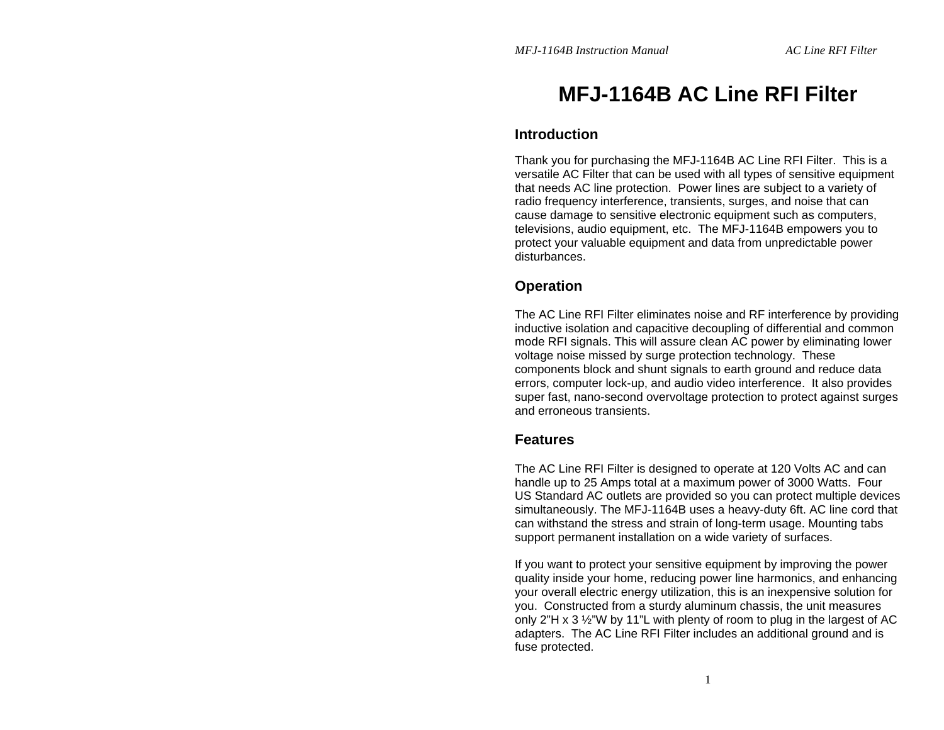# **MFJ-1164B AC Line RFI Filter**

### **Introduction**

Thank you for purchasing the MFJ-1164B AC Line RFI Filter. This is a versatile AC Filter that can be used with all types of sensitive equipment that needs AC line protection. Power lines are subject to a variety of radio frequency interference, transients, surges, and noise that can cause damage to sensitive electronic equipment such as computers, televisions, audio equipment, etc. The MFJ-1164B empowers you to protect your valuable equipment and data from unpredictable power disturbances.

### **Operation**

The AC Line RFI Filter eliminates noise and RF interference by providing inductive isolation and capacitive decoupling of differential and common mode RFI signals. This will assure clean AC power by eliminating lower voltage noise missed by surge protection technology. These components block and shunt signals to earth ground and reduce data errors, computer lock-up, and audio video interference. It also provides super fast, nano-second overvoltage protection to protect against surges and erroneous transients.

### **Features**

The AC Line RFI Filter is designed to operate at 120 Volts AC and can handle up to 25 Amps total at a maximum power of 3000 Watts. Four US Standard AC outlets are provided so you can protect multiple devices simultaneously. The MFJ-1164B uses a heavy-duty 6ft. AC line cord that can withstand the stress and strain of long-term usage. Mounting tabs support permanent installation on a wide variety of surfaces.

If you want to protect your sensitive equipment by improving the power quality inside your home, reducing power line harmonics, and enhancing your overall electric energy utilization, this is an inexpensive solution for you. Constructed from a sturdy aluminum chassis, the unit measures only 2"H x 3 ½"W by 11"L with plenty of room to plug in the largest of AC adapters. The AC Line RFI Filter includes an additional ground and is fuse protected.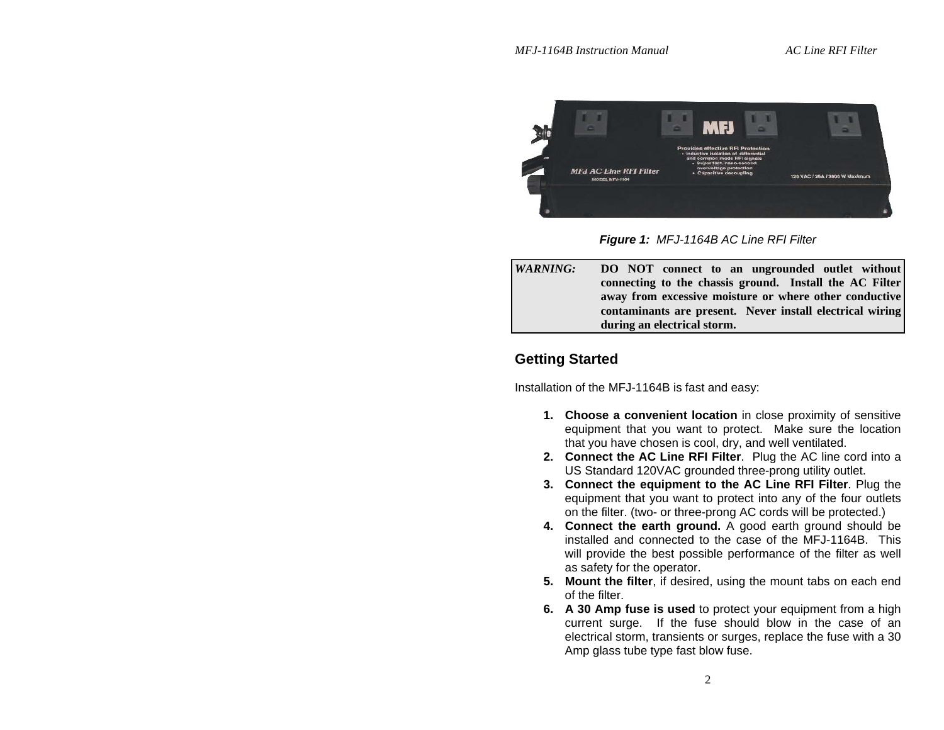

*Figure 1: MFJ-1164B AC Line RFI Filter*

*WARNING:* **DO NOT connect to an ungrounded outlet without connecting to the chassis ground. Install the AC Filter away from excessive moisture or where other conductive contaminants are present. Never install electrical wiring during an electrical storm.**

### **Getting Started**

Installation of the MFJ-1164B is fast and easy:

- **1. Choose a convenient location** in close proximity of sensitive equipment that you want to protect. Make sure the location that you have chosen is cool, dry, and well ventilated.
- **2. Connect the AC Line RFI Filter**. Plug the AC line cord into a US Standard 120VAC grounded three-prong utility outlet.
- **3. Connect the equipment to the AC Line RFI Filter**. Plug the equipment that you want to protect into any of the four outlets on the filter. (two- or three-prong AC cords will be protected.)
- **4. Connect the earth ground.** A good earth ground should be installed and connected to the case of the MFJ-1164B. This will provide the best possible performance of the filter as well as safety for the operator.
- **5. Mount the filter**, if desired, using the mount tabs on each end of the filter.
- **6. A 30 Amp fuse is used** to protect your equipment from a high current surge. If the fuse should blow in the case of an electrical storm, transients or surges, replace the fuse with a 30 Amp glass tube type fast blow fuse.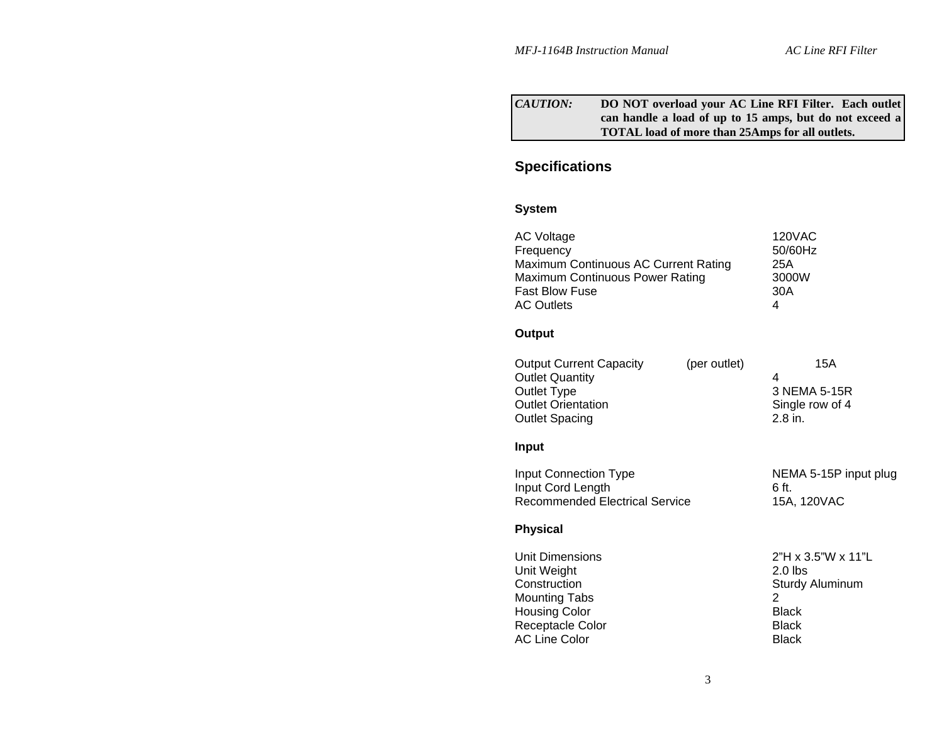#### *CAUTION:* **DO NOT overload your AC Line RFI Filter. Each outlet can handle a load of up to 15 amps, but do not exceed a TOTAL load of more than 25Amps for all outlets.**

## **Specifications**

#### **System**

| <b>AC Voltage</b><br>Frequency<br>Maximum Continuous AC Current Rating<br><b>Maximum Continuous Power Rating</b><br><b>Fast Blow Fuse</b><br><b>AC Outlets</b> |              | <b>120VAC</b><br>50/60Hz<br>25A<br>3000W<br>30A<br>4                                                                             |
|----------------------------------------------------------------------------------------------------------------------------------------------------------------|--------------|----------------------------------------------------------------------------------------------------------------------------------|
| Output                                                                                                                                                         |              |                                                                                                                                  |
| <b>Output Current Capacity</b><br><b>Outlet Quantity</b><br>Outlet Type<br><b>Outlet Orientation</b><br><b>Outlet Spacing</b>                                  | (per outlet) | 15A<br>4<br>3 NEMA 5-15R<br>Single row of 4<br>$2.8$ in.                                                                         |
| <b>Input</b>                                                                                                                                                   |              |                                                                                                                                  |
| <b>Input Connection Type</b><br>Input Cord Length<br><b>Recommended Electrical Service</b>                                                                     |              | NEMA 5-15P input plug<br>6 ft.<br>15A, 120VAC                                                                                    |
| <b>Physical</b>                                                                                                                                                |              |                                                                                                                                  |
| Unit Dimensions<br>Unit Weight<br>Construction<br><b>Mounting Tabs</b><br><b>Housing Color</b><br>Receptacle Color<br><b>AC Line Color</b>                     |              | $2"H \times 3.5"W \times 11"L$<br>$2.0$ lbs<br>Sturdy Aluminum<br>$\overline{2}$<br><b>Black</b><br><b>Black</b><br><b>Black</b> |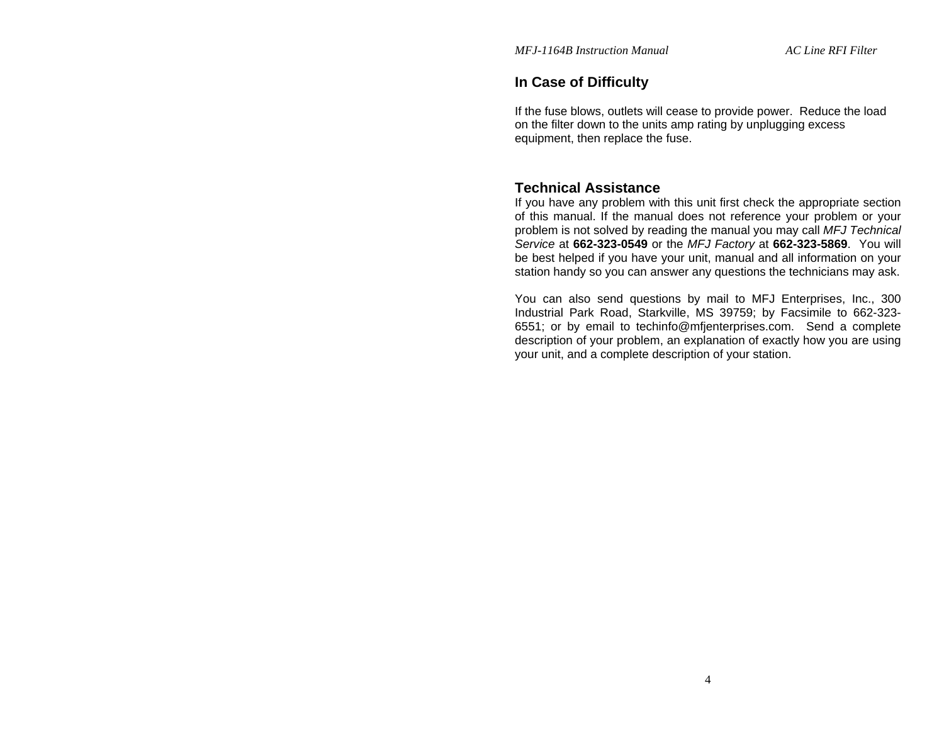### **In Case of Difficulty**

If the fuse blows, outlets will cease to provide power. Reduce the load on the filter down to the units amp rating by unplugging excess equipment, then replace the fuse.

### **Technical Assistance**

If you have any problem with this unit first check the appropriate section of this manual. If the manual does not reference your problem or your problem is not solved by reading the manual you may call *MFJ Technical Service* at **662-323-0549** or the *MFJ Factory* at **662-323-5869**. You will be best helped if you have your unit, manual and all information on your station handy so you can answer any questions the technicians may ask.

You can also send questions by mail to MFJ Enterprises, Inc., 300 Industrial Park Road, Starkville, MS 39759; by Facsimile to 662-323- 6551; or by email to techinfo@mfjenterprises.com. Send a complete description of your problem, an explanation of exactly how you are using your unit, and a complete description of your station.